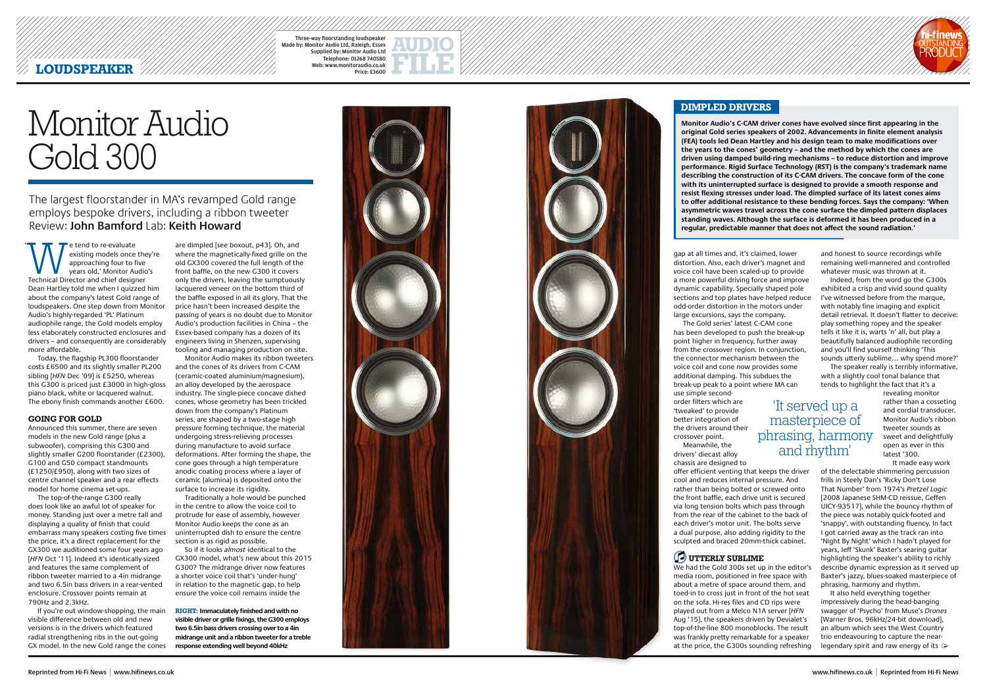# LOUDSPEAKER ///////////

Three-way floorstanding loudspeaker Made by: Monitor Audio Ltd, Raleigh, Essex Supplied by: Monitor Audio Ltd Telephone: 01268 740580 Web: www.monitoraudio.co.uk Price: £3600



### **DIMPLED DRIVERS**

**WE tend to re-evaluate**<br>
approaching four to five<br>
years old,' Monitor Audio<br>
Technical Director and chief designer existing models once they're approaching four to five years old,' Monitor Audio's Dean Hartley told me when I quizzed him about the company's latest Gold range of loudspeakers. One step down from Monitor Audio's highly-regarded 'PL' Platinum audiophile range, the Gold models employ less elaborately constructed enclosures and drivers – and consequently are considerably more affordable.

Today, the flagship PL300 floorstander costs £6500 and its slightly smaller PL200 sibling [*HFN* Dec '09] is £5250, whereas this G300 is priced just £3000 in high-gloss piano black, white or lacquered walnut. The ebony finish commands another £600.

#### **GOING FOR GOLD**

Announced this summer, there are seven models in the new Gold range (plus a subwoofer), comprising this G300 and slightly smaller G200 floorstander (£2300), G100 and G50 compact standmounts (£1250/£950), along with two sizes of centre channel speaker and a rear effects model for home cinema set-ups.

The top-of-the-range G300 really does look like an awful lot of speaker for money. Standing just over a metre tall and displaying a quality of finish that could embarrass many speakers costing five times the price, it's a direct replacement for the GX300 we auditioned some four years ago [*HFN* Oct '11]. Indeed it's identically-sized and features the same complement of ribbon tweeter married to a 4in midrange and two 6.5in bass drivers in a rear-vented enclosure. Crossover points remain at 790Hz and 2.3kHz.

If you're out window-shopping, the main visible difference between old and new versions is in the drivers which featured radial strengthening ribs in the out-going GX model. In the new Gold range the cones

gap at all times and, it's claimed, lower distortion. Also, each driver's magnet and voice coil have been scaled-up to provide a more powerful driving force and improve dynamic capability. Specially shaped pole sections and top plates have helped reduce odd-order distortion in the motors under large excursions, says the company. The Gold series' latest C-CAM cone has been developed to push the break-up point higher in frequency, further away from the crossover region. In conjunction, the connector mechanism between the voice coil and cone now provides some additional damping. This subdues the break-up peak to a point where MA can

Monitor Audio makes its ribbon tweeters and the cones of its drivers from C-CAM (ceramic-coated aluminium/magnesium), an alloy developed by the aerospace industry. The single-piece concave dished cones, whose geometry has been trickled down from the company's Platinum series, are shaped by a two-stage high pressure forming technique, the material undergoing stress-relieving processes during manufacture to avoid surface deformations. After forming the shape, the cone goes through a high temperature anodic coating process where a layer of ceramic (alumina) is deposited onto the surface to increase its rigidity.

use simple secondorder filters which are 'tweaked' to provide better integration of the drivers around their crossover point.

Meanwhile, the drivers' diecast alloy chassis are designed to offer efficient venting that keeps the driver cool and reduces internal pressure. And rather than being bolted or screwed onto the front baffle, each drive unit is secured via long tension bolts which pass through from the rear of the cabinet to the back of each driver's motor unit. The bolts serve a dual purpose, also adding rigidity to the sculpted and braced 20mm-thick cabinet.

# *C* UTTERLY SUBLIME

We had the Gold 300s set up in the editor's media room, positioned in free space with about a metre of space around them, and toed-in to cross just in front of the hot seat on the sofa. Hi-res files and CD rips were played out from a Melco N1A server [*HFN* Aug '15], the speakers driven by Devialet's top-of-the-line 800 monoblocks. The result was frankly pretty remarkable for a speaker at the price, the G300s sounding refreshing

It also held everything together impressively during the head-banging swagger of 'Psycho' from Muse's *Drones* [Warner Bros, 96kHz/24-bit download], an album which sees the West Country trio endeavouring to capture the nearlegendary spirit and raw energy of its  $\ominus$ 

**Monitor Audio's C-CAM driver cones have evolved since first appearing in the original Gold series speakers of 2002. Advancements in finite element analysis (FEA) tools led Dean Hartley and his design team to make modifications over the years to the cones' geometry – and the method by which the cones are driven using damped build-ring mechanisms – to reduce distortion and improve performance. Rigid Surface Technology (RST) is the company's trademark name describing the construction of its C-CAM drivers. The concave form of the cone with its uninterrupted surface is designed to provide a smooth response and resist flexing stresses under load. The dimpled surface of its latest cones aims to offer additional resistance to these bending forces. Says the company: 'When asymmetric waves travel across the cone surface the dimpled pattern displaces standing waves. Although the surface is deformed it has been produced in a regular, predictable manner that does not affect the sound radiation.'** 

**RIGHT: Immaculately finished and with no visible driver or grille fixings, the G300 employs two 6.5in bass drivers crossing over to a 4in midrange unit and a ribbon tweeter for a treble response extending well beyond 40kHz**





are dimpled [see boxout, p43]. Oh, and where the magnetically-fixed grille on the old GX300 covered the full length of the front baffle, on the new G300 it covers only the drivers, leaving the sumptuously lacquered veneer on the bottom third of the baffle exposed in all its glory. That the price hasn't been increased despite the passing of years is no doubt due to Monitor Audio's production facilities in China – the Essex-based company has a dozen of its engineers living in Shenzen, supervising tooling and managing production on site.

Traditionally a hole would be punched in the centre to allow the voice coil to protrude for ease of assembly, however Monitor Audio keeps the cone as an uninterrupted dish to ensure the centre section is as rigid as possible.

So if it looks *almost* identical to the GX300 model, what's new about this 2015 G300? The midrange driver now features a shorter voice coil that's 'under-hung' in relation to the magnetic gap, to help ensure the voice coil remains inside the

and honest to source recordings while remaining well-mannered and controlled whatever music was thrown at it.

Indeed, from the word go the G300s exhibited a crisp and vivid sound quality I've witnessed before from the marque, with notably fine imaging and explicit detail retrieval. It doesn't flatter to deceive: play something ropey and the speaker tells it like it is, warts 'n' all, but play a beautifully balanced audiophile recording and you'll find yourself thinking 'This sounds utterly sublime… why spend more?'

The speaker really is terribly informative, with a slightly cool tonal balance that tends to highlight the fact that it's a

> revealing monitor rather than a cosseting and cordial transducer. Monitor Audio's ribbon tweeter sounds as sweet and delightfully open as ever in this latest '300.

It made easy work of the delectable shimmering percussion frills in Steely Dan's 'Ricky Don't Lose That Number' from 1974's *Pretzel Logic* [2008 Japanese SHM-CD reissue, Geffen UICY-93517], while the bouncy rhythm of the piece was notably quick-footed and 'snappy', with outstanding fluency. In fact I got carried away as the track ran into 'Night By Night' which I hadn't played for years, Jeff 'Skunk' Baxter's searing guitar highlighting the speaker's ability to richly describe dynamic expression as it served up Baxter's jazzy, blues-soaked masterpiece of phrasing, harmony and rhythm.

# The largest floorstander in MA's revamped Gold range employs bespoke drivers, including a ribbon tweeter Review: **John Bamford** Lab: **Keith Howard**

# Monitor Audio Gold 300

# 'It served up a masterpiece of phrasing, harmony and rhythm'

'